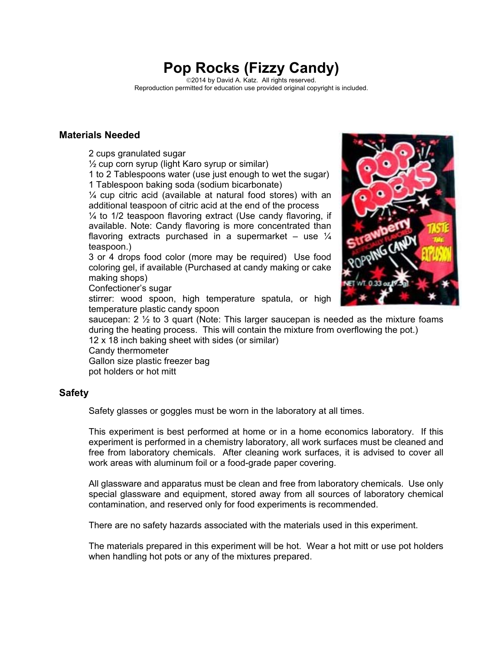# **Pop Rocks (Fizzy Candy)**

2014 by David A. Katz. All rights reserved. Reproduction permitted for education use provided original copyright is included.

#### **Materials Needed**

2 cups granulated sugar

½ cup corn syrup (light Karo syrup or similar)

1 to 2 Tablespoons water (use just enough to wet the sugar) 1 Tablespoon baking soda (sodium bicarbonate)

 $\frac{1}{4}$  cup citric acid (available at natural food stores) with an additional teaspoon of citric acid at the end of the process

 $\frac{1}{4}$  to 1/2 teaspoon flavoring extract (Use candy flavoring, if available. Note: Candy flavoring is more concentrated than flavoring extracts purchased in a supermarket – use  $\frac{1}{4}$ teaspoon.)

3 or 4 drops food color (more may be required) Use food coloring gel, if available (Purchased at candy making or cake making shops)

Confectioner's sugar

stirrer: wood spoon, high temperature spatula, or high temperature plastic candy spoon

saucepan: 2  $\frac{1}{2}$  to 3 quart (Note: This larger saucepan is needed as the mixture foams during the heating process. This will contain the mixture from overflowing the pot.)

12 x 18 inch baking sheet with sides (or similar)

Candy thermometer

Gallon size plastic freezer bag

pot holders or hot mitt

## **Safety**

Safety glasses or goggles must be worn in the laboratory at all times.

This experiment is best performed at home or in a home economics laboratory. If this experiment is performed in a chemistry laboratory, all work surfaces must be cleaned and free from laboratory chemicals. After cleaning work surfaces, it is advised to cover all work areas with aluminum foil or a food-grade paper covering.

All glassware and apparatus must be clean and free from laboratory chemicals. Use only special glassware and equipment, stored away from all sources of laboratory chemical contamination, and reserved only for food experiments is recommended.

There are no safety hazards associated with the materials used in this experiment.

The materials prepared in this experiment will be hot. Wear a hot mitt or use pot holders when handling hot pots or any of the mixtures prepared.

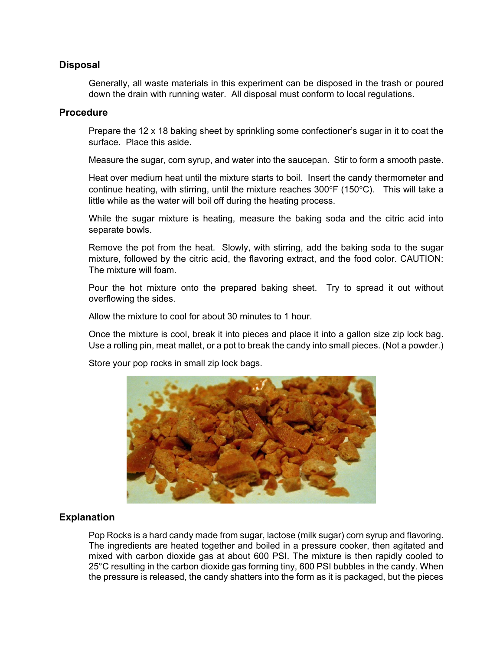# **Disposal**

Generally, all waste materials in this experiment can be disposed in the trash or poured down the drain with running water. All disposal must conform to local regulations.

#### **Procedure**

Prepare the 12 x 18 baking sheet by sprinkling some confectioner's sugar in it to coat the surface. Place this aside.

Measure the sugar, corn syrup, and water into the saucepan. Stir to form a smooth paste.

Heat over medium heat until the mixture starts to boil. Insert the candy thermometer and continue heating, with stirring, until the mixture reaches  $300^{\circ}F$  (150 $^{\circ}C$ ). This will take a little while as the water will boil off during the heating process.

While the sugar mixture is heating, measure the baking soda and the citric acid into separate bowls.

Remove the pot from the heat. Slowly, with stirring, add the baking soda to the sugar mixture, followed by the citric acid, the flavoring extract, and the food color. CAUTION: The mixture will foam.

Pour the hot mixture onto the prepared baking sheet. Try to spread it out without overflowing the sides.

Allow the mixture to cool for about 30 minutes to 1 hour.

Once the mixture is cool, break it into pieces and place it into a gallon size zip lock bag. Use a rolling pin, meat mallet, or a pot to break the candy into small pieces. (Not a powder.)

Store your pop rocks in small zip lock bags.



## **Explanation**

Pop Rocks is a hard candy made from sugar, lactose (milk sugar) corn syrup and flavoring. The ingredients are heated together and boiled in a pressure cooker, then agitated and mixed with carbon dioxide gas at about 600 PSI. The mixture is then rapidly cooled to 25°C resulting in the carbon dioxide gas forming tiny, 600 PSI bubbles in the candy. When the pressure is released, the candy shatters into the form as it is packaged, but the pieces